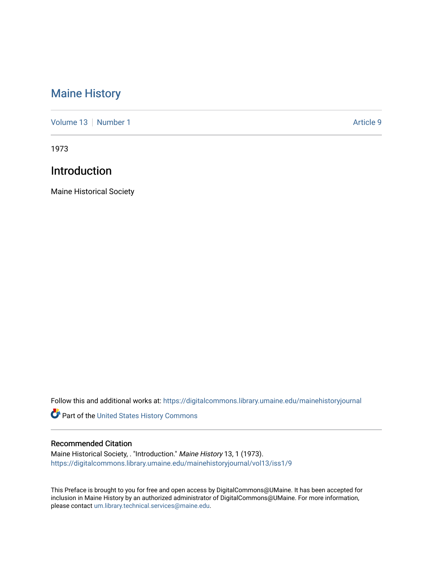## [Maine History](https://digitalcommons.library.umaine.edu/mainehistoryjournal)

[Volume 13](https://digitalcommons.library.umaine.edu/mainehistoryjournal/vol13) [Number 1](https://digitalcommons.library.umaine.edu/mainehistoryjournal/vol13/iss1) Article 9

1973

## Introduction

Maine Historical Society

Follow this and additional works at: [https://digitalcommons.library.umaine.edu/mainehistoryjournal](https://digitalcommons.library.umaine.edu/mainehistoryjournal?utm_source=digitalcommons.library.umaine.edu%2Fmainehistoryjournal%2Fvol13%2Fiss1%2F9&utm_medium=PDF&utm_campaign=PDFCoverPages) 

Part of the [United States History Commons](http://network.bepress.com/hgg/discipline/495?utm_source=digitalcommons.library.umaine.edu%2Fmainehistoryjournal%2Fvol13%2Fiss1%2F9&utm_medium=PDF&utm_campaign=PDFCoverPages) 

## Recommended Citation

Maine Historical Society, . "Introduction." Maine History 13, 1 (1973). [https://digitalcommons.library.umaine.edu/mainehistoryjournal/vol13/iss1/9](https://digitalcommons.library.umaine.edu/mainehistoryjournal/vol13/iss1/9?utm_source=digitalcommons.library.umaine.edu%2Fmainehistoryjournal%2Fvol13%2Fiss1%2F9&utm_medium=PDF&utm_campaign=PDFCoverPages)

This Preface is brought to you for free and open access by DigitalCommons@UMaine. It has been accepted for inclusion in Maine History by an authorized administrator of DigitalCommons@UMaine. For more information, please contact [um.library.technical.services@maine.edu.](mailto:um.library.technical.services@maine.edu)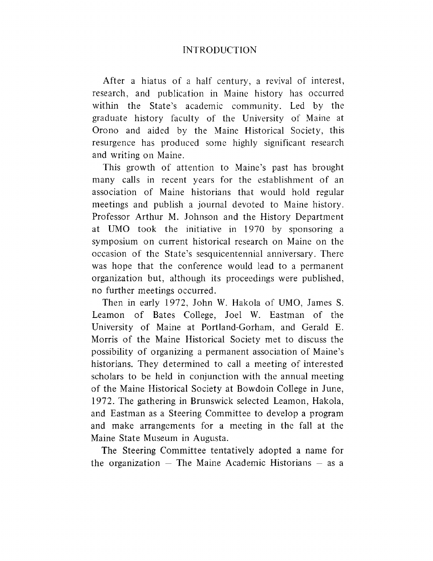After a hiatus of a half century, a revival of interest, research, and publication in Maine history has occurred within the State's academic community. Led by the graduate history faculty of the University of Maine at Orono and aided by the Maine Historical Society, this resurgence has produced some highly significant research and writing on Maine.

This growth of attention to Maine'<sup>s</sup> past has brought many calls in recent years for the establishment of an association of Maine historians that would hold regular meetings and publish a journal devoted to Maine history. Professor Arthur M. Johnson and the History Department at UMO took the initiative in 1970 by sponsoring a symposium on current historical research on Maine on the occasion of the State'<sup>s</sup> sesquicentennial anniversary. There was hope that the conference would lead to a permanent organization but, although its proceedings were published, no further meetings occurred.

Then in early 1972, John W. Hakola of UMO, James S. Leamon of Bates College, Joel W. Eastman of the University of Maine at Portland-Gorham, and Gerald E. Morris of the Maine Historical Society met to discuss the possibility of organizing a permanent association of Maine'<sup>s</sup> historians. They determined to call a meeting of interested scholars to be held in conjunction with the annual meeting of the Maine Historical Society at Bowdoin College in June, 1972. The gathering in Brunswick selected Leamon, Hakola, and Eastman as a Steering Committee to develop a program and make arrangements for a meeting in the fall at the Maine State Museum in Augusta.

The Steering Committee tentatively adopted a name for the organization  $-$  The Maine Academic Historians  $-$  as a